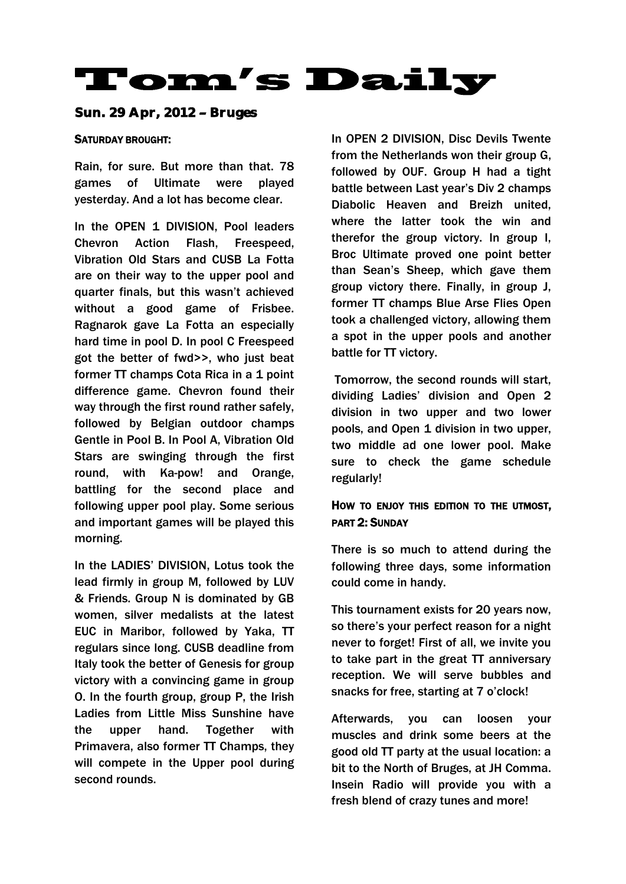# **Tom's Daily**

Sun. 29 Apr, 2012 - Bruges

#### SATURDAY BROUGHT:

Rain, for sure. But more than that. 78 games of Ultimate were played yesterday. And a lot has become clear.

In the OPEN 1 DIVISION, Pool leaders Chevron Action Flash, Freespeed, Vibration Old Stars and CUSB La Fotta are on their way to the upper pool and quarter finals, but this wasn't achieved without a good game of Frisbee. Ragnarok gave La Fotta an especially hard time in pool D. In pool C Freespeed got the better of fwd>>, who just beat former TT champs Cota Rica in a 1 point difference game. Chevron found their way through the first round rather safely, followed by Belgian outdoor champs Gentle in Pool B. In Pool A, Vibration Old Stars are swinging through the first round, with Ka-pow! and Orange, battling for the second place and following upper pool play. Some serious and important games will be played this morning.

In the LADIES' DIVISION, Lotus took the lead firmly in group M, followed by LUV & Friends. Group N is dominated by GB women, silver medalists at the latest EUC in Maribor, followed by Yaka, TT regulars since long. CUSB deadline from Italy took the better of Genesis for group victory with a convincing game in group O. In the fourth group, group P, the Irish Ladies from Little Miss Sunshine have the upper hand. Together with Primavera, also former TT Champs, they will compete in the Upper pool during second rounds.

In OPEN 2 DIVISION, Disc Devils Twente from the Netherlands won their group G, followed by OUF. Group H had a tight battle between Last year's Div 2 champs Diabolic Heaven and Breizh united, where the latter took the win and therefor the group victory. In group I, Broc Ultimate proved one point better than Sean's Sheep, which gave them group victory there. Finally, in group J, former TT champs Blue Arse Flies Open took a challenged victory, allowing them a spot in the upper pools and another battle for TT victory.

Tomorrow, the second rounds will start, dividing Ladies' division and Open 2 division in two upper and two lower pools, and Open 1 division in two upper, two middle ad one lower pool. Make sure to check the game schedule regularly!

## HOW TO ENJOY THIS EDITION TO THE UTMOST, PART 2: SUNDAY

There is so much to attend during the following three days, some information could come in handy.

This tournament exists for 20 years now, so there's your perfect reason for a night never to forget! First of all, we invite you to take part in the great TT anniversary reception. We will serve bubbles and snacks for free, starting at 7 o'clock!

Afterwards, you can loosen your muscles and drink some beers at the good old TT party at the usual location: a bit to the North of Bruges, at JH Comma. Insein Radio will provide you with a fresh blend of crazy tunes and more!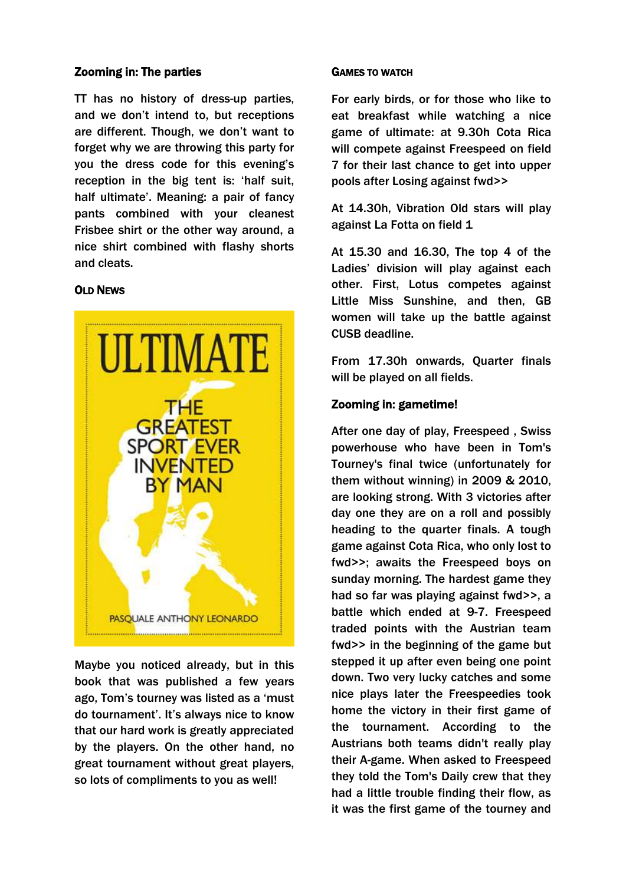#### Zooming in: The parties

TT has no history of dress-up parties, and we don't intend to, but receptions are different. Though, we don't want to forget why we are throwing this party for you the dress code for this evening's reception in the big tent is: 'half suit, half ultimate'. Meaning: a pair of fancy pants combined with your cleanest Frisbee shirt or the other way around, a nice shirt combined with flashy shorts and cleats.

#### OLD NEWS



Maybe you noticed already, but in this book that was published a few years ago, Tom's tourney was listed as a 'must do tournament'. It's always nice to know that our hard work is greatly appreciated by the players. On the other hand, no great tournament without great players, so lots of compliments to you as well!

#### GAMES TO WATCH

For early birds, or for those who like to eat breakfast while watching a nice game of ultimate: at 9.30h Cota Rica will compete against Freespeed on field 7 for their last chance to get into upper pools after Losing against fwd>>

At 14.30h, Vibration Old stars will play against La Fotta on field 1

At 15.30 and 16.30, The top 4 of the Ladies' division will play against each other. First, Lotus competes against Little Miss Sunshine, and then, GB women will take up the battle against CUSB deadline.

From 17.30h onwards, Quarter finals will be played on all fields.

#### Zooming in: gametime!

After one day of play, Freespeed , Swiss powerhouse who have been in Tom's Tourney's final twice (unfortunately for them without winning) in 2009 & 2010, are looking strong. With 3 victories after day one they are on a roll and possibly heading to the quarter finals. A tough game against Cota Rica, who only lost to fwd>>; awaits the Freespeed boys on sunday morning. The hardest game they had so far was playing against fwd>>, a battle which ended at 9-7. Freespeed traded points with the Austrian team fwd>> in the beginning of the game but stepped it up after even being one point down. Two very lucky catches and some nice plays later the Freespeedies took home the victory in their first game of the tournament. According to the Austrians both teams didn't really play their A-game. When asked to Freespeed they told the Tom's Daily crew that they had a little trouble finding their flow, as it was the first game of the tourney and